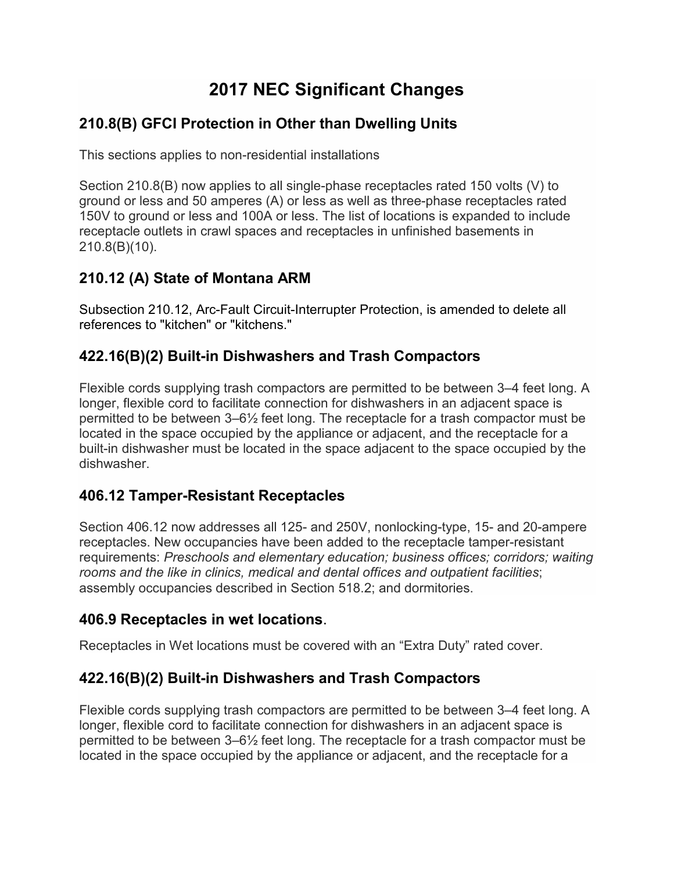# **2017 NEC Significant Changes**

## **210.8(B) GFCI Protection in Other than Dwelling Units**

This sections applies to non-residential installations

Section 210.8(B) now applies to all single-phase receptacles rated 150 volts (V) to ground or less and 50 amperes (A) or less as well as three-phase receptacles rated 150V to ground or less and 100A or less. The list of locations is expanded to include receptacle outlets in crawl spaces and receptacles in unfinished basements in 210.8(B)(10).

# **210.12 (A) State of Montana ARM**

Subsection 210.12, Arc-Fault Circuit-Interrupter Protection, is amended to delete all references to "kitchen" or "kitchens."

# **422.16(B)(2) Built-in Dishwashers and Trash Compactors**

Flexible cords supplying trash compactors are permitted to be between 3–4 feet long. A longer, flexible cord to facilitate connection for dishwashers in an adjacent space is permitted to be between 3–6½ feet long. The receptacle for a trash compactor must be located in the space occupied by the appliance or adjacent, and the receptacle for a built-in dishwasher must be located in the space adjacent to the space occupied by the dishwasher.

## **406.12 Tamper-Resistant Receptacles**

Section 406.12 now addresses all 125- and 250V, nonlocking-type, 15- and 20-ampere receptacles. New occupancies have been added to the receptacle tamper-resistant requirements: *Preschools and elementary education; business offices; corridors; waiting rooms and the like in clinics, medical and dental offices and outpatient facilities*; assembly occupancies described in Section 518.2; and dormitories.

#### **406.9 Receptacles in wet locations**.

Receptacles in Wet locations must be covered with an "Extra Duty" rated cover.

## **422.16(B)(2) Built-in Dishwashers and Trash Compactors**

Flexible cords supplying trash compactors are permitted to be between 3–4 feet long. A longer, flexible cord to facilitate connection for dishwashers in an adjacent space is permitted to be between 3–6½ feet long. The receptacle for a trash compactor must be located in the space occupied by the appliance or adjacent, and the receptacle for a